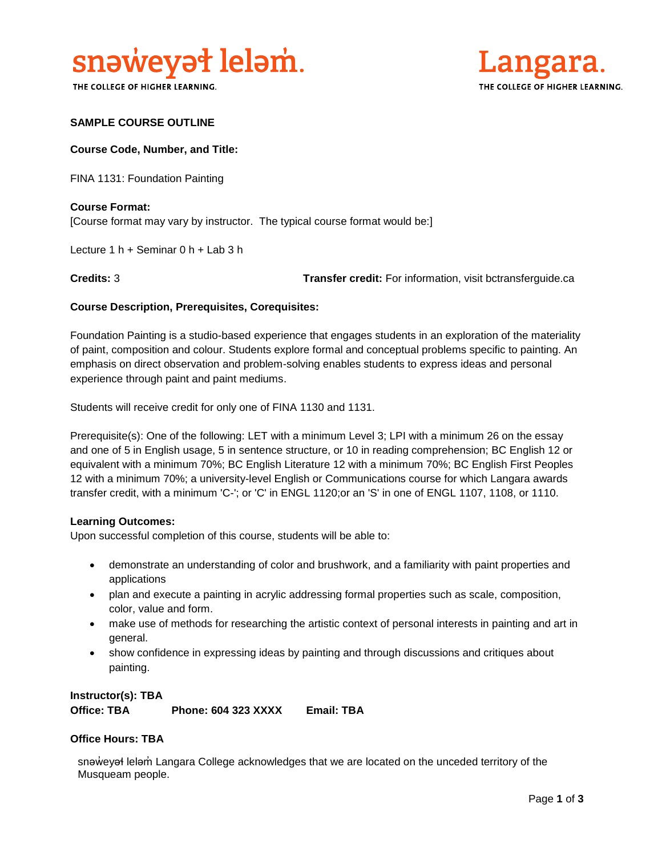

THE COLLEGE OF HIGHER LEARNING.



### **SAMPLE COURSE OUTLINE**

#### **Course Code, Number, and Title:**

FINA 1131: Foundation Painting

# **Course Format:** [Course format may vary by instructor. The typical course format would be:]

Lecture 1 h + Seminar 0 h + Lab 3 h

**Credits:** 3 **Transfer credit:** For information, visit bctransferguide.ca

#### **Course Description, Prerequisites, Corequisites:**

Foundation Painting is a studio-based experience that engages students in an exploration of the materiality of paint, composition and colour. Students explore formal and conceptual problems specific to painting. An emphasis on direct observation and problem-solving enables students to express ideas and personal experience through paint and paint mediums.

Students will receive credit for only one of FINA 1130 and 1131.

Prerequisite(s): One of the following: LET with a minimum Level 3; LPI with a minimum 26 on the essay and one of 5 in English usage, 5 in sentence structure, or 10 in reading comprehension; BC English 12 or equivalent with a minimum 70%; BC English Literature 12 with a minimum 70%; BC English First Peoples 12 with a minimum 70%; a university-level English or Communications course for which Langara awards transfer credit, with a minimum 'C-'; or 'C' in ENGL 1120;or an 'S' in one of ENGL 1107, 1108, or 1110.

#### **Learning Outcomes:**

Upon successful completion of this course, students will be able to:

- demonstrate an understanding of color and brushwork, and a familiarity with paint properties and applications
- plan and execute a painting in acrylic addressing formal properties such as scale, composition, color, value and form.
- make use of methods for researching the artistic context of personal interests in painting and art in general.
- show confidence in expressing ideas by painting and through discussions and critiques about painting.

### **Instructor(s): TBA**

**Office: TBA Phone: 604 323 XXXX Email: TBA**

#### **Office Hours: TBA**

snəweyał leləm Langara College acknowledges that we are located on the unceded territory of the Musqueam people.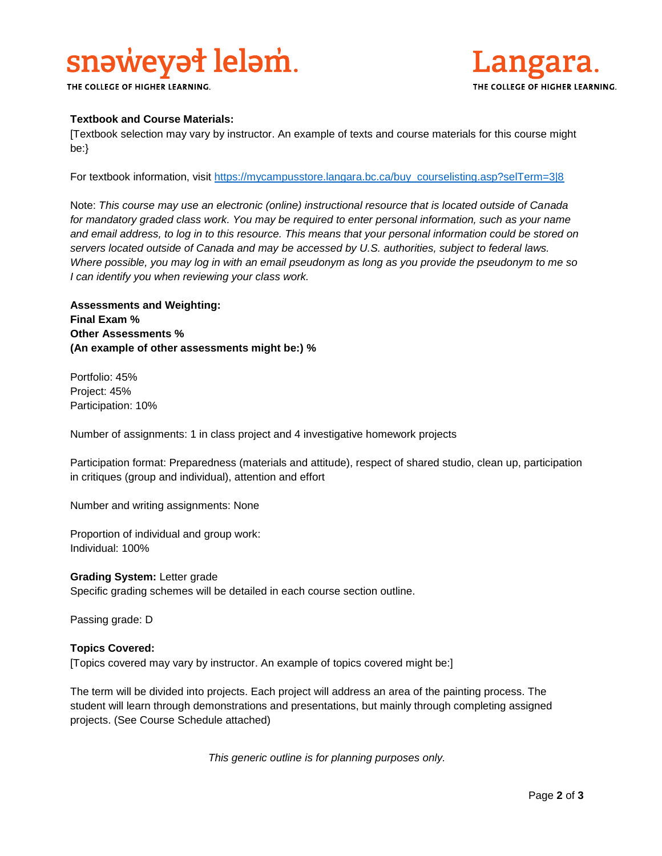# snaweyat lelam.

THE COLLEGE OF HIGHER LEARNING.



# **Textbook and Course Materials:**

[Textbook selection may vary by instructor. An example of texts and course materials for this course might be:}

For textbook information, visit [https://mycampusstore.langara.bc.ca/buy\\_courselisting.asp?selTerm=3|8](https://mycampusstore.langara.bc.ca/buy_courselisting.asp?selTerm=3|8)

Note: *This course may use an electronic (online) instructional resource that is located outside of Canada*  for mandatory graded class work. You may be required to enter personal information, such as your name *and email address, to log in to this resource. This means that your personal information could be stored on servers located outside of Canada and may be accessed by U.S. authorities, subject to federal laws. Where possible, you may log in with an email pseudonym as long as you provide the pseudonym to me so I can identify you when reviewing your class work.* 

**Assessments and Weighting: Final Exam % Other Assessments % (An example of other assessments might be:) %**

Portfolio: 45% Project: 45% Participation: 10%

Number of assignments: 1 in class project and 4 investigative homework projects

Participation format: Preparedness (materials and attitude), respect of shared studio, clean up, participation in critiques (group and individual), attention and effort

Number and writing assignments: None

Proportion of individual and group work: Individual: 100%

**Grading System:** Letter grade Specific grading schemes will be detailed in each course section outline.

Passing grade: D

# **Topics Covered:**

[Topics covered may vary by instructor. An example of topics covered might be:]

The term will be divided into projects. Each project will address an area of the painting process. The student will learn through demonstrations and presentations, but mainly through completing assigned projects. (See Course Schedule attached)

*This generic outline is for planning purposes only.*